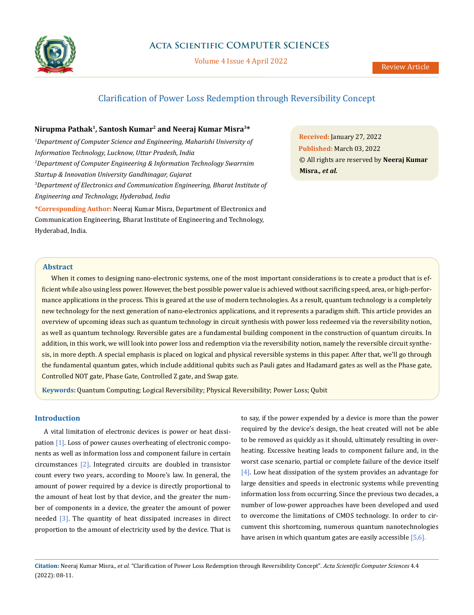

# **Acta Scientific COMPUTER SCIENCES**

Volume 4 Issue 4 April 2022

# Clarification of Power Loss Redemption through Reversibility Concept

#### **Nirupma Pathak1, Santosh Kumar2 and Neeraj Kumar Misra3\***

<sup>1</sup>Department of Computer Science and Engineering, Maharishi University of *Information Technology, Lucknow, Uttar Pradesh, India 2 Department of Computer Engineering & Information Technology Swarrnim Startup & Innovation University Gandhinagar, Gujarat* <sup>3</sup>Department of Electronics and Communication Engineering, Bharat Institute of *Engineering and Technology, Hyderabad, India* **\*Corresponding Author:** Neeraj Kumar Misra, Department of Electronics and

Communication Engineering, Bharat Institute of Engineering and Technology, Hyderabad, India.

**Received:** January 27, 2022 **Published:** March 03, 2022 © All rights are reserved by **Neeraj Kumar Misra***., et al.*

## **Abstract**

When it comes to designing nano-electronic systems, one of the most important considerations is to create a product that is efficient while also using less power. However, the best possible power value is achieved without sacrificing speed, area, or high-performance applications in the process. This is geared at the use of modern technologies. As a result, quantum technology is a completely new technology for the next generation of nano-electronics applications, and it represents a paradigm shift. This article provides an overview of upcoming ideas such as quantum technology in circuit synthesis with power loss redeemed via the reversibility notion, as well as quantum technology. Reversible gates are a fundamental building component in the construction of quantum circuits. In addition, in this work, we will look into power loss and redemption via the reversibility notion, namely the reversible circuit synthesis, in more depth. A special emphasis is placed on logical and physical reversible systems in this paper. After that, we'll go through the fundamental quantum gates, which include additional qubits such as Pauli gates and Hadamard gates as well as the Phase gate, Controlled NOT gate, Phase Gate, Controlled Z gate, and Swap gate.

**Keywords:** Quantum Computing; Logical Reversibility; Physical Reversibility; Power Loss; Qubit

## **Introduction**

A vital limitation of electronic devices is power or heat dissipation [1]. Loss of power causes overheating of electronic components as well as information loss and component failure in certain circumstances [2]. Integrated circuits are doubled in transistor count every two years, according to Moore's law. In general, the amount of power required by a device is directly proportional to the amount of heat lost by that device, and the greater the number of components in a device, the greater the amount of power needed  $\begin{bmatrix} 3 \end{bmatrix}$ . The quantity of heat dissipated increases in direct proportion to the amount of electricity used by the device. That is to say, if the power expended by a device is more than the power required by the device's design, the heat created will not be able to be removed as quickly as it should, ultimately resulting in overheating. Excessive heating leads to component failure and, in the worst case scenario, partial or complete failure of the device itself [4]. Low heat dissipation of the system provides an advantage for large densities and speeds in electronic systems while preventing information loss from occurring. Since the previous two decades, a number of low-power approaches have been developed and used to overcome the limitations of CMOS technology. In order to circumvent this shortcoming, numerous quantum nanotechnologies have arisen in which quantum gates are easily accessible [5,6].

**Citation:** Neeraj Kumar Misra*., et al.* "Clarification of Power Loss Redemption through Reversibility Concept". *Acta Scientific Computer Sciences* 4.4 (2022): 08-11.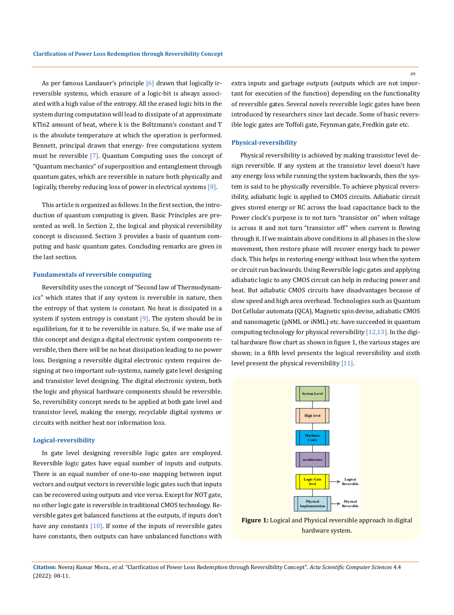As per famous Landauer's principle [6] drawn that logically irreversible systems, which erasure of a logic-bit is always associated with a high value of the entropy. All the erased logic bits in the system during computation will lead to dissipate of at approximate kTln2 amount of heat, where k is the Boltzmann's constant and T is the absolute temperature at which the operation is performed. Bennett, principal drawn that energy- free computations system must be reversible [7]. Quantum Computing uses the concept of "Quantum mechanics" of superposition and entanglement through quantum gates, which are reversible in nature both physically and logically, thereby reducing loss of power in electrical systems [8].

This article is organized as follows. In the first section, the introduction of quantum computing is given. Basic Principles are presented as well. In Section 2, the logical and physical reversibility concept is discussed. Section 3 provides a basis of quantum computing and basic quantum gates. Concluding remarks are given in the last section.

#### **Fundamentals of reversible computing**

Reversibility uses the concept of "Second law of Thermodynamics" which states that if any system is reversible in nature, then the entropy of that system is constant. No heat is dissipated in a system if system entropy is constant [9]. The system should be in equilibrium, for it to be reversible in nature. So, if we make use of this concept and design a digital electronic system components reversible, then there will be no heat dissipation leading to no power loss. Designing a reversible digital electronic system requires designing at two important sub-systems, namely gate level designing and transistor level designing. The digital electronic system, both the logic and physical hardware components should be reversible. So, reversibility concept needs to be applied at both gate level and transistor level, making the energy, recyclable digital systems or circuits with neither heat nor information loss.

#### **Logical-reversibility**

In gate level designing reversible logic gates are employed. Reversible logic gates have equal number of inputs and outputs. There is an equal number of one-to-one mapping between input vectors and output vectors in reversible logic gates such that inputs can be recovered using outputs and vice versa. Except for NOT gate, no other logic gate is reversible in traditional CMOS technology. Reversible gates get balanced functions at the outputs, if inputs don't have any constants [10]. If some of the inputs of reversible gates have constants, then outputs can have unbalanced functions with

extra inputs and garbage outputs (outputs which are not important for execution of the function) depending on the functionality of reversible gates. Several novels reversible logic gates have been introduced by researchers since last decade. Some of basic reversible logic gates are Toffoli gate, Feynman gate, Fredkin gate etc.

#### **Physical-reversibility**

Physical reversibility is achieved by making transistor level design reversible. If any system at the transistor level doesn't have any energy loss while running the system backwards, then the system is said to be physically reversible. To achieve physical reversibility, adiabatic logic is applied to CMOS circuits. Adiabatic circuit gives stored energy or RC across the load capacitance back to the Power clock's purpose is to not turn "transistor on" when voltage is across it and not turn "transistor off" when current is flowing through it. If we maintain above conditions in all phases in the slow movement, then restore phase will recover energy back to power clock. This helps in restoring energy without loss when the system or circuit run backwards. Using Reversible logic gates and applying adiabatic logic to any CMOS circuit can help in reducing power and heat. But adiabatic CMOS circuits have disadvantages because of slow speed and high area overhead. Technologies such as Quantum Dot Cellular automata (QCA), Magnetic spin devise, adiabatic CMOS and nanomagetic (pNML or iNML) etc. have succeeded in quantum computing technology for physical reversibility [12,13]. In the digital hardware flow chart as shown in figure 1, the various stages are shown; in a fifth level presents the logical reversibility and sixth level present the physical reversibility [11].



**Figure 1:** Logical and Physical reversible approach in digital hardware system.

09

**Citation:** Neeraj Kumar Misra*., et al.* "Clarification of Power Loss Redemption through Reversibility Concept". *Acta Scientific Computer Sciences* 4.4 (2022): 08-11.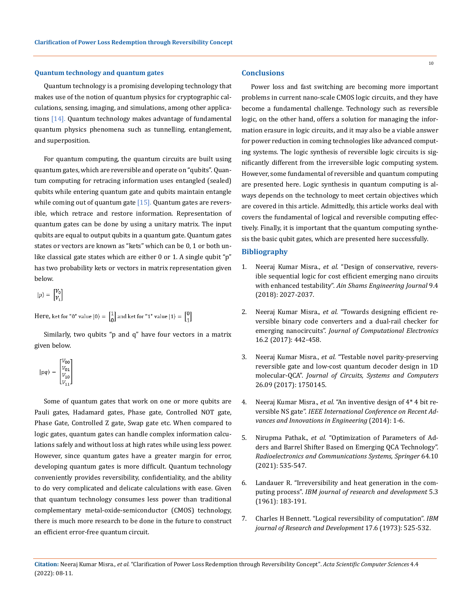#### **Quantum technology and quantum gates**

Quantum technology is a promising developing technology that makes use of the notion of quantum physics for cryptographic calculations, sensing, imaging, and simulations, among other applications [14]. Quantum technology makes advantage of fundamental quantum physics phenomena such as tunnelling, entanglement, and superposition.

For quantum computing, the quantum circuits are built using quantum gates, which are reversible and operate on "qubits". Quantum computing for retracing information uses entangled (sealed) qubits while entering quantum gate and qubits maintain entangle while coming out of quantum gate  $[15]$ . Quantum gates are reversible, which retrace and restore information. Representation of quantum gates can be done by using a unitary matrix. The input qubits are equal to output qubits in a quantum gate. Quantum gates states or vectors are known as "kets" which can be 0, 1 or both unlike classical gate states which are either 0 or 1. A single qubit "p" has two probability kets or vectors in matrix representation given below.

$$
|p\rangle = \begin{bmatrix} V_0 \\ V_1 \end{bmatrix}
$$

Here, ket for "0" value  $|0\rangle = \begin{bmatrix} 1 \\ 0 \end{bmatrix}$  and ket for "1" value  $|1\rangle = \begin{bmatrix} 0 \\ 1 \end{bmatrix}$ 

Similarly, two qubits "p and q" have four vectors in a matrix given below.

$$
|pq\rangle = \begin{bmatrix} V_{00} \\ V_{01} \\ V_{10} \\ V_{11} \end{bmatrix}
$$

Some of quantum gates that work on one or more qubits are Pauli gates, Hadamard gates, Phase gate, Controlled NOT gate, Phase Gate, Controlled Z gate, Swap gate etc. When compared to logic gates, quantum gates can handle complex information calculations safely and without loss at high rates while using less power. However, since quantum gates have a greater margin for error, developing quantum gates is more difficult. Quantum technology conveniently provides reversibility, confidentiality, and the ability to do very complicated and delicate calculations with ease. Given that quantum technology consumes less power than traditional complementary metal-oxide-semiconductor (CMOS) technology, there is much more research to be done in the future to construct an efficient error-free quantum circuit.

### **Conclusions**

Power loss and fast switching are becoming more important problems in current nano-scale CMOS logic circuits, and they have become a fundamental challenge. Technology such as reversible logic, on the other hand, offers a solution for managing the information erasure in logic circuits, and it may also be a viable answer for power reduction in coming technologies like advanced computing systems. The logic synthesis of reversible logic circuits is significantly different from the irreversible logic computing system. However, some fundamental of reversible and quantum computing are presented here. Logic synthesis in quantum computing is always depends on the technology to meet certain objectives which are covered in this article. Admittedly, this article works deal with covers the fundamental of logical and reversible computing effectively. Finally, it is important that the quantum computing synthesis the basic qubit gates, which are presented here successfully.

### **Bibliography**

- 1. Neeraj Kumar Misra., *et al.* ["Design of conservative, revers](https://www.sciencedirect.com/science/article/pii/S2090447917300291)[ible sequential logic for cost efficient emerging nano circuits](https://www.sciencedirect.com/science/article/pii/S2090447917300291)  with enhanced testability". *[Ain Shams Engineering Journal](https://www.sciencedirect.com/science/article/pii/S2090447917300291)* 9.4 [\(2018\): 2027-2037.](https://www.sciencedirect.com/science/article/pii/S2090447917300291)
- 2. Neeraj Kumar Misra., *et al.* ["Towards designing efficient re](https://dl.acm.org/doi/10.1007/s10825-017-0960-4)[versible binary code converters and a dual-rail checker for](https://dl.acm.org/doi/10.1007/s10825-017-0960-4)  emerging nanocircuits". *[Journal of Computational Electronics](https://dl.acm.org/doi/10.1007/s10825-017-0960-4)* [16.2 \(2017\): 442-458.](https://dl.acm.org/doi/10.1007/s10825-017-0960-4)
- 3. Neeraj Kumar Misra., *et al.* ["Testable novel parity-preserving](https://www.worldscientific.com/doi/abs/10.1142/S0218126617501456)  [reversible gate and low-cost quantum decoder design in 1D](https://www.worldscientific.com/doi/abs/10.1142/S0218126617501456)  molecular-QCA". *[Journal of Circuits, Systems and Computers](https://www.worldscientific.com/doi/abs/10.1142/S0218126617501456)* [26.09 \(2017\): 1750145.](https://www.worldscientific.com/doi/abs/10.1142/S0218126617501456)
- 4. Neeraj Kumar Misra., *et al.* ["An inventive design of 4\\* 4 bit re](https://ieeexplore.ieee.org/document/6909323)versible NS gate". *[IEEE International Conference on Recent Ad](https://ieeexplore.ieee.org/document/6909323)[vances and Innovations in Engineering](https://ieeexplore.ieee.org/document/6909323)* (2014): 1-6.
- 5. Nirupma Pathak., *et al.* ["Optimization of Parameters of Ad](https://link.springer.com/article/10.3103/S0735272721100022)[ders and Barrel Shifter Based on Emerging QCA Technology".](https://link.springer.com/article/10.3103/S0735272721100022)  *[Radioelectronics and Communications Systems, Springer](https://link.springer.com/article/10.3103/S0735272721100022)* 64.10 [\(2021\): 535-547.](https://link.springer.com/article/10.3103/S0735272721100022)
- 6. [Landauer R. "Irreversibility and heat generation in the com](https://ieeexplore.ieee.org/document/5392446)puting process". *[IBM journal of research and development](https://ieeexplore.ieee.org/document/5392446)* 5.3 [\(1961\): 183-191.](https://ieeexplore.ieee.org/document/5392446)
- 7. [Charles H Bennett. "Logical reversibility of computation".](https://ieeexplore.ieee.org/document/5391327) *IBM [journal of Research and Development](https://ieeexplore.ieee.org/document/5391327)* 17.6 (1973): 525-532.

10

**Citation:** Neeraj Kumar Misra*., et al.* "Clarification of Power Loss Redemption through Reversibility Concept". *Acta Scientific Computer Sciences* 4.4 (2022): 08-11.